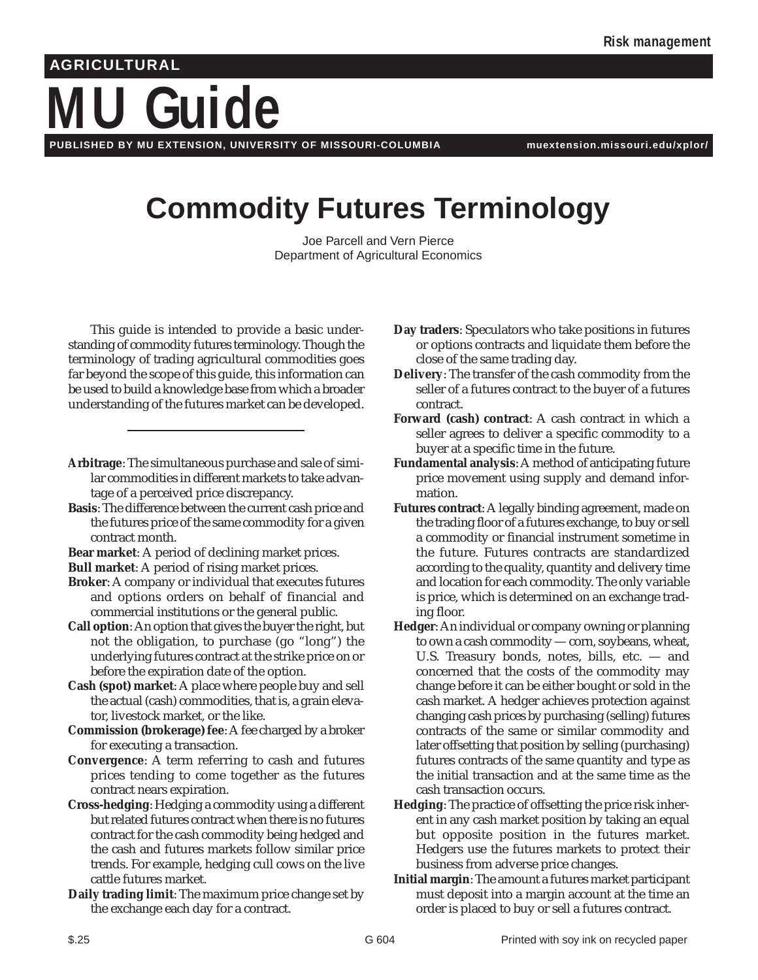## **AGRICULTURAL**

## **MU Guide**

**PUBLISHED BY MU EXTENSION, UNIVERSITY OF MISSOURI-COLUMBIA muextension.missouri.edu/xplor/**

## **Commodity Futures Terminology**

Joe Parcell and Vern Pierce Department of Agricultural Economics

This guide is intended to provide a basic understanding of commodity futures terminology. Though the terminology of trading agricultural commodities goes far beyond the scope of this guide, this information can be used to build a knowledge base from which a broader understanding of the futures market can be developed.

- **Arbitrage**: The simultaneous purchase and sale of similar commodities in different markets to take advantage of a perceived price discrepancy.
- **Basis**: The difference between the current cash price and the futures price of the same commodity for a given contract month.
- **Bear market**: A period of declining market prices.
- **Bull market**: A period of rising market prices.
- **Broker**: A company or individual that executes futures and options orders on behalf of financial and commercial institutions or the general public.
- **Call option**: An option that gives the buyer the right, but not the obligation, to purchase (go "long") the underlying futures contract at the strike price on or before the expiration date of the option.
- **Cash (spot) market**: A place where people buy and sell the actual (cash) commodities, that is, a grain elevator, livestock market, or the like.
- **Commission (brokerage) fee**: A fee charged by a broker for executing a transaction.
- **Convergence**: A term referring to cash and futures prices tending to come together as the futures contract nears expiration.
- **Cross-hedging**: Hedging a commodity using a different but related futures contract when there is no futures contract for the cash commodity being hedged and the cash and futures markets follow similar price trends. For example, hedging cull cows on the live cattle futures market.
- **Daily trading limit**: The maximum price change set by the exchange each day for a contract.
- **Day traders**: Speculators who take positions in futures or options contracts and liquidate them before the close of the same trading day.
- **Delivery**: The transfer of the cash commodity from the seller of a futures contract to the buyer of a futures contract.
- **Forward (cash) contract**: A cash contract in which a seller agrees to deliver a specific commodity to a buyer at a specific time in the future.
- **Fundamental analysis**: A method of anticipating future price movement using supply and demand information.
- **Futures contract**: A legally binding agreement, made on the trading floor of a futures exchange, to buy or sell a commodity or financial instrument sometime in the future. Futures contracts are standardized according to the quality, quantity and delivery time and location for each commodity. The only variable is price, which is determined on an exchange trading floor.
- **Hedger**: An individual or company owning or planning to own a cash commodity — corn, soybeans, wheat, U.S. Treasury bonds, notes, bills, etc. — and concerned that the costs of the commodity may change before it can be either bought or sold in the cash market. A hedger achieves protection against changing cash prices by purchasing (selling) futures contracts of the same or similar commodity and later offsetting that position by selling (purchasing) futures contracts of the same quantity and type as the initial transaction and at the same time as the cash transaction occurs.
- **Hedging**: The practice of offsetting the price risk inherent in any cash market position by taking an equal but opposite position in the futures market. Hedgers use the futures markets to protect their business from adverse price changes.
- **Initial margin**: The amount a futures market participant must deposit into a margin account at the time an order is placed to buy or sell a futures contract.